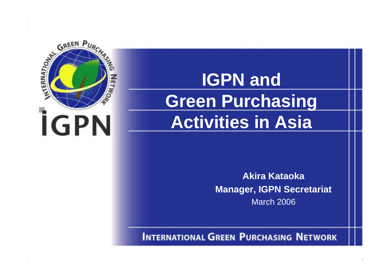

# **IGPN and IGPN and Green Purchasing Green Purchasing Activities in Asia**

Akira Kataoka **Akira KataokaManager, IGPN Secretariat** March 2006

**INTERNATIONAL GREEN PURCHASING NETWORK**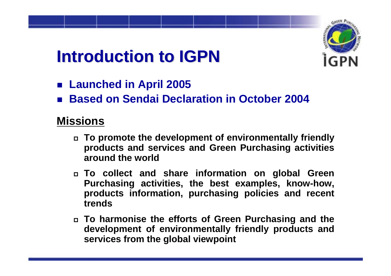# **Introduction to IGPN Introduction to IGPN**

- **Launched in April 2005**
- **Based on Sendai Declaration in October 2004**

## **Missions**

- **To promote the development of environmentally friendly products and services and Green Purchasing activities around the world**
- **To collect and share information on global Green Purchasing activities, the best examples, know-how, products information, purchasing policies and recent trends**
- **To harmonise the efforts of Green Purchasing and the development of environmentally friendly products and services from the global viewpoint**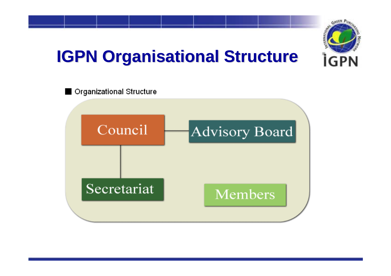

# **IGPN Organisational Structure**

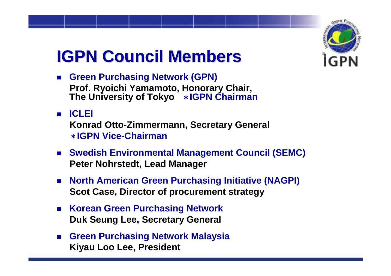

# **IGPN Council Members IGPN Council Members**

- **Green Purchasing Network (GPN) Prof. Ryoichi Yamamoto, Honorary Chair, The University of Tokyo**  \***IGPN Chairman**
- **ICLEI Konrad Otto-Zimmermann, Secretary General** \***IGPN Vice-Chairman**
- **Swedish Environmental Management Council (SEMC) Peter Nohrstedt, Lead Manager**
- **North American Green Purchasing Initiative (NAGPI) Scot Case, Director of procurement strategy**
- **Korean Green Purchasing Network Duk Seung Lee, Secretary General**
- **Green Purchasing Network Malaysia Kiyau Loo Lee, President**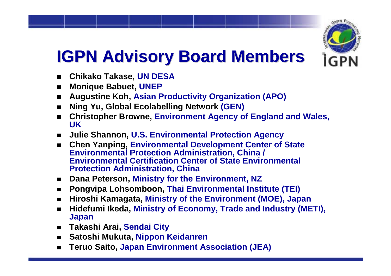

# **IGPN Advisory Board Members IGPN Advisory Board Members**

- ▉ **Chikako Takase, UN DESA**
- $\blacksquare$ **Monique Babuet, UNEP**
- $\blacksquare$ **Augustine Koh, Asian Productivity Organization (APO)**
- ▉ **Ning Yu, Global Ecolabelling Network (GEN)**
- ▉ **Christopher Browne, Environment Agency of England and Wales, UK**
- $\mathcal{L}$ **Julie Shannon, U.S. Environmental Protection Agency**
- $\blacksquare$  **Chen Yanping, Environmental Development Center of State Environmental Protection Administration, China / Environmental Certification Center of State Environmental Protection Administration, China**
- $\blacksquare$ **Dana Peterson, Ministry for the Environment, NZ**
- ▉ **Pongvipa Lohsomboon, Thai Environmental Institute (TEI)**
- ▉ **Hiroshi Kamagata, Ministry of the Environment (MOE), Japan**
- $\blacksquare$  **Hidefumi Ikeda, Ministry of Economy, Trade and Industry (METI), Japan**
- $\mathbf{r}$ **Takashi Arai, Sendai City**
- ▉ **Satoshi Mukuta, Nippon Keidanren**
- ▉ **Teruo Saito, Japan Environment Association (JEA)**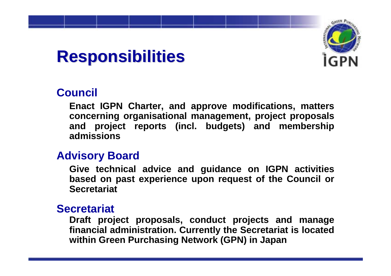

# **Responsibilities Responsibilities**

## **Council**

**Enact IGPN Charter, and approve modifications, matters concerning organisational management, project proposals and project reports (incl. budgets) and membership admissions**

### **Advisory Board**

**Give technical advice and guidance on IGPN activities based on past experience upon request of the Council or Secretariat**

### **Secretariat**

**Draft project proposals, conduct projects and manage financial administration. Currently the Secretariat is located within Green Purchasing Network (GPN) in Japan**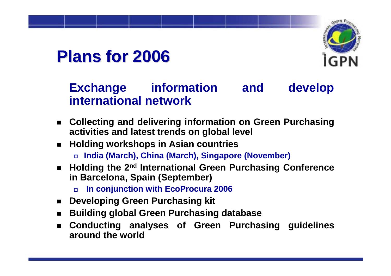

# **Plans for 2006 Plans for 2006**

## **Exchange information and develop international network**

- **Collecting and delivering information on Green Purchasing activities and latest trends on global level**
- **Holding workshops in Asian countries** 
	- **India (March), China (March), Singapore (November)**
- Holding the 2<sup>nd</sup> International Green Purchasing Conference **in Barcelona, Spain (September)**
	- $\Box$ **In conjunction with EcoProcura 2006**
- $\mathcal{L}^{\text{max}}$ **Developing Green Purchasing kit**
- $\blacksquare$ **Building global Green Purchasing database**
- $\blacksquare$  **Conducting analyses of Green Purchasing guidelines around the world**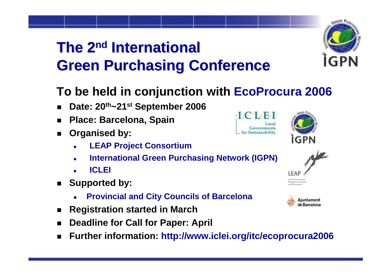# **The 2<sup>nd</sup> International Green Purchasing Conference Green Purchasing Conference**



- $\blacksquare$ **Date: 20th~21st September 2006**
- $\blacksquare$ **Place: Barcelona, Spain**
- $\blacksquare$  **Organised by:**
	- o **LEAP Project Consortium**
	- o **International Green Purchasing Network (IGPN)**
	- o **ICLEI**
- $\blacksquare$  **Supported by:**
	- z**Provincial and City Councils of Barcelona**
- $\blacksquare$ **Registration started in March**
- $\blacksquare$ **Deadline for Call for Paper: April**
- $\blacksquare$ **Further information: http://www.iclei.org/itc/ecoprocura2006**









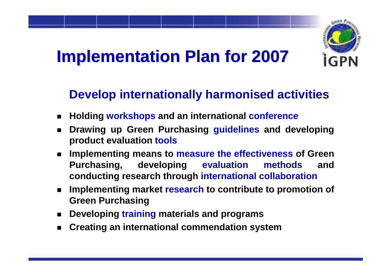

# **Implementation Plan for 2007 Implementation Plan for 2007**

## **Develop internationally harmonised activities**

- $\blacksquare$ **Holding workshops and an international conference**
- $\blacksquare$  **Drawing up Green Purchasing guidelines and developing product evaluation tools**
- $\blacksquare$  **Implementing means to measure the effectiveness of Green Purchasing, developing evaluation methods and conducting research through international collaboration**
- $\blacksquare$  **Implementing market research to contribute to promotion of Green Purchasing**
- $\blacksquare$ **Developing training materials and programs**
- $\blacksquare$ **Creating an international commendation system**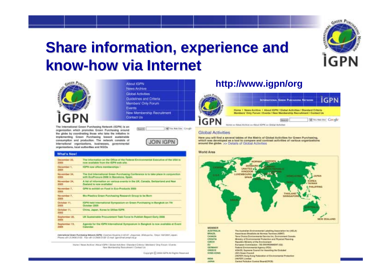

# **Share information, experience and Share information, experience and know-how via Internet how via Internet**



The International Green Purchasing Network (IGPN) is an organization which promotes Green Purchasing around the globe by coordinating those who take the initiative in implementing Green Purchasing toward austainable consumption and production. The network consists of international organizations, businesses, governmental

About IGPN News Archive **Global Activities** Guidelines and Criteria Members' Only Forum Events New Membership Recruitment Contact Us

> **Ve** Tros Web Eller | Google Search



### What's New!

organizations, local authorities and NGDs

| December 22.                 | The information on the Office of the Federal Environmental Eascative of the USA is |
|------------------------------|------------------------------------------------------------------------------------|
| 2009-                        | new available from the IGPN web site.                                              |
| December 1.<br>2005          | IGPM now offers memberships 1                                                      |
| November 34.                 | The 2rat International Green Purchasing Conference is to 5400 place in conjunction |
| 2006                         | with EcoProcura 2008 in Barcelorus, Spain,                                         |
| Movember 24.                 | A tiel of information on various swents in the UK. Canada, Switzerland and New     |
| 2005                         | Exclured to now available!                                                         |
| November 7,<br>2005          | GPN to exhibit on Food in Eco-Products 2009                                        |
| November 7.<br>2005          | Bio-Plastics Green Purchasing Research Group to be Barn                            |
| October 11.                  | (CPM held International Symposium on Green Purchasing in Bangkok on 7th            |
| 2005                         | October 2005                                                                       |
| Gotober 11.<br>2005          | China, Japan, Korea to Utikas IGPN.                                                |
| September 20.<br><b>BOOK</b> | LN Sustainable Procurement Task Force to Publish Report Early 3006                 |
| <b>September 13.</b>         | Agenda for the IGPN International Symposium in Bangkok is now available at Event   |
| <b>ROOM</b>                  | Calendar.                                                                          |

Peterschicker Direct Purchasing Melwork (10/98) Construct Abyarda Jr (01-67; Jinguardas, Wellsyarda), TD450 1307-0001, Issue), Phone ad L3-3406-5155 Parcelli -5-3405-5100 E-mail: Ignistimatureal rie ar

> Harler I Nises Achieve | Abdult ISPN 1 Slobal Activities | Standard Criticia | Moldawa' Cittig Forals | illumits New Mordotship Rotruitment / Contact Us

> > Copyright @ 2006 (GPN At Higher Reserved

### **http://www.igpn/org**



### **Global Activities**

Here you will find a several tables of the Matrix of Global Activities for Green Purchasing. which was developed as a lool to compare and contrast activities of various organizations around the globe. bo- Details of Global Activities.

### World Area



**MEMBER ALISTMALIA BRAZA CANADA** CROATIA CZECH **BI** GERMANY GREECE **HONG KONS INCAN JAPAN** 

The Australian Environmental Lubaling Association Inc (AELA) Associacao Brasileira de Normas Tecnicas (ABNT) Terre Choice Environmental Service Inc. Environment Ceneda Motors of Environmental Pertaction and Physical Planning Republic Ministry of the Environment European Commission - DO ENVIRONMENT (GE) Federal Environmental Agency (FEA) 63405, Sapreme Council for Americas the Ensisted (GC) Green Council (HKFEP) tiong Kong Federation of Environmental Protection (HOTEP) Limited Cartral Policitor: Contral Board(CPOS)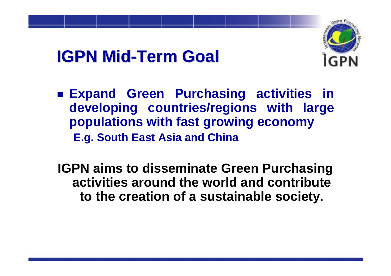# **IGPN Mid-Term Goal**



- **Expand Green Purchasing activities in developing countries/regions with large populations with fast growing economy E.g. South East Asia and China**
- **IGPN aims to disseminate Green Purchasing activities around the world and contribute to the creation of a sustainable society.**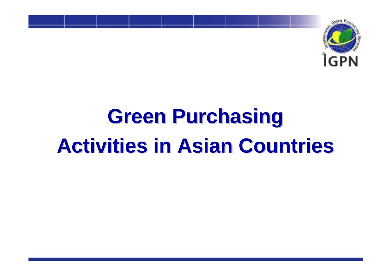

# **Green Purchasing Activities in Asian Countries Activities in Asian Countries**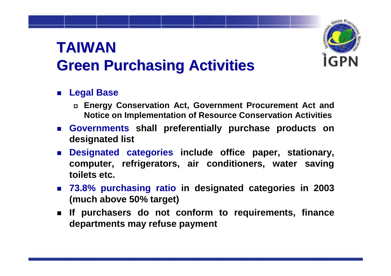# **TAIWANGreen Purchasing Activities Green Purchasing Activities**

- **Legal Base**
	- **Energy Conservation Act, Government Procurement Act and Notice on Implementation of Resource Conservation Activities**
- **Governments shall preferentially purchase products on designated list**
- **Designated categories include office paper, stationary, computer, refrigerators, air conditioners, water saving toilets etc.**
- **73.8% purchasing ratio in designated categories in 2003 (much above 50% target)**
- **If purchasers do not conform to requirements, finance departments may refuse payment**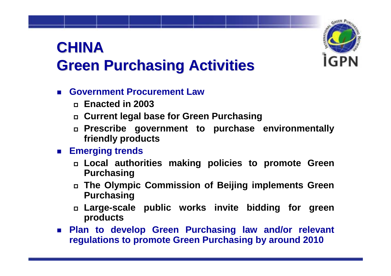

# **CHINAGreen Purchasing Activities Green Purchasing Activities**

### **Government Procurement Law**

- **Enacted in 2003**
- **Current legal base for Green Purchasing**
- **Prescribe government to purchase environmentally friendly products**

### **Emerging trends**

- **Local authorities making policies to promote Green Purchasing**
- **The Olympic Commission of Beijing implements Green Purchasing**
- **Large-scale public works invite bidding for green products**
- **Plan to develop Green Purchasing law and/or relevant regulations to promote Green Purchasing by around 2010**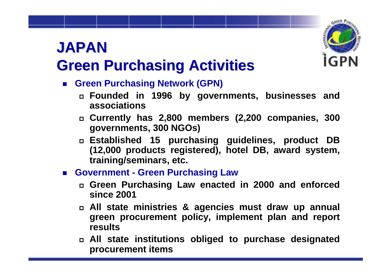# **JAPAN**



# **Green Purchasing Activities Green Purchasing Activities**

- Green Purchasing Network (GPN)
	- **Founded in 1996 by governments, businesses and associations**
	- **Currently has 2,800 members (2,200 companies, 300 governments, 300 NGOs)**
	- **Established 15 purchasing guidelines, product DB (12,000 products registered), hotel DB, award system, training/seminars, etc.**
- Government Green Purchasing Law
	- **Green Purchasing Law enacted in 2000 and enforced since 2001**
	- **All state ministries & agencies must draw up annual green procurement policy, implement plan and report results**
	- **All state institutions obliged to purchase designated procurement items**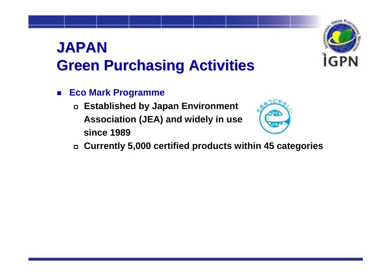# **JAPANGreen Purchasing Activities Green Purchasing Activities**

- $\blacksquare$  **Eco Mark Programme**
	- **Established by Japan Environment Association (JEA) and widely in use since 1989**



**Currently 5,000 certified products within 45 categories**

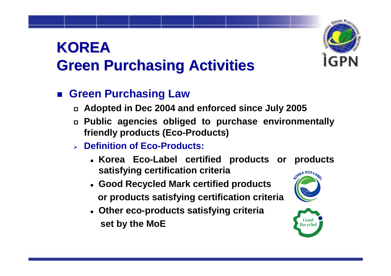# **KOREAGreen Purchasing Activities Green Purchasing Activities**

## **Green Purchasing Law**

- **Adopted in Dec 2004 and enforced since July 2005**
- **Public agencies obliged to purchase environmentally friendly products (Eco-Products)**
- ¾ **Definition of Eco-Products:**
	- z **Korea Eco-Label certified products or products satisfying certification criteria** OREA ECO-LA
	- z **Good Recycled Mark certified products or products satisfying certification criteria**
	- z **Other eco-products satisfying criteria set by the MoE**



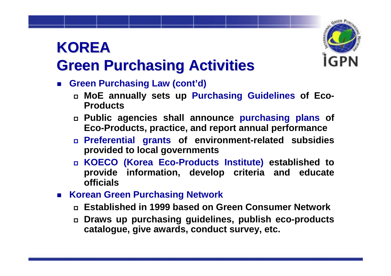# **KOREA**



# **Green Purchasing Activities Green Purchasing Activities**

- **Green Purchasing Law (cont'd)**
	- **MoE annually sets up Purchasing Guidelines of Eco-Products**
	- **Public agencies shall announce purchasing plans of Eco-Products, practice, and report annual performance**
	- **Preferential grants of environment-related subsidies provided to local governments**
	- **KOECO (Korea Eco-Products Institute) established to provide information, develop criteria and educate officials**
- **Korean Green Purchasing Network**
	- **Established in 1999 based on Green Consumer Network**
	- **Draws up purchasing guidelines, publish eco-products catalogue, give awards, conduct survey, etc.**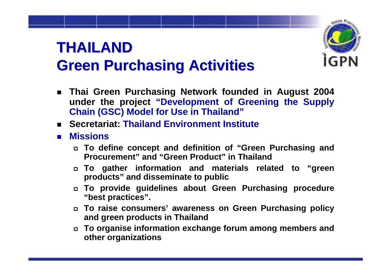# **THAILAND THAILANDGreen Purchasing Activities Green Purchasing Activities**

- **Thai Green Purchasing Network founded in August 2004 under the project "Development of Greening the Supply Chain (GSC) Model for Use in Thailand"**
- **Secretariat: Thailand Environment Institute**
- **Missions**
	- **To define concept and definition of "Green Purchasing and Procurement" and "Green Product" in Thailand**
	- **To gather information and materials related to "green products" and disseminate to public**
	- **To provide guidelines about Green Purchasing procedure "best practices".**
	- **To raise consumers' awareness on Green Purchasing policy and green products in Thailand**
	- $\Box$  **To organise information exchange forum among members and other organizations**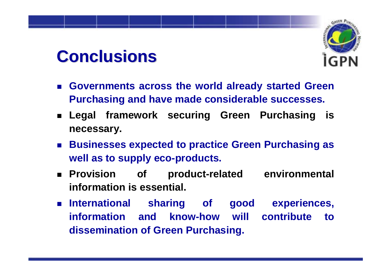# **Conclusions Conclusions**



- $\mathbb{R}^2$  **Governments across the world already started Green Purchasing and have made considerable successes.**
- **Legal framework securing Green Purchasing is necessary.**
- **Businesses expected to practice Green Purchasing as well as to supply eco-products.**
- $\blacksquare$  Provision of product-related environmental **information is essential.**
- **International sharing of good experiences, information and know-how will contribute to dissemination of Green Purchasing.**